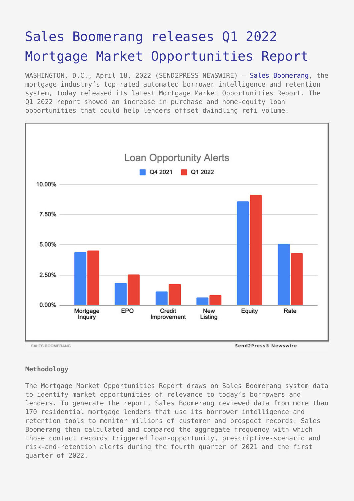## [Sales Boomerang releases Q1 2022](https://www.send2press.com/wire/sales-boomerang-releases-q1-2022-mortgage-market-opportunities-report/) [Mortgage Market Opportunities Report](https://www.send2press.com/wire/sales-boomerang-releases-q1-2022-mortgage-market-opportunities-report/)

WASHINGTON, D.C., April 18, 2022 (SEND2PRESS NEWSWIRE) — [Sales Boomerang](https://www.salesboomerang.com/), the mortgage industry's top-rated automated borrower intelligence and retention system, today released its latest Mortgage Market Opportunities Report. The Q1 2022 report showed an increase in purchase and home-equity loan opportunities that could help lenders offset dwindling refi volume.



## **Methodology**

The Mortgage Market Opportunities Report draws on Sales Boomerang system data to identify market opportunities of relevance to today's borrowers and lenders. To generate the report, Sales Boomerang reviewed data from more than 170 residential mortgage lenders that use its borrower intelligence and retention tools to monitor millions of customer and prospect records. Sales Boomerang then calculated and compared the aggregate frequency with which those contact records triggered loan-opportunity, prescriptive-scenario and risk-and-retention alerts during the fourth quarter of 2021 and the first quarter of 2022.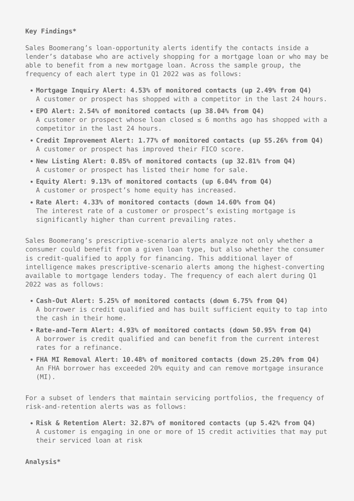## **Key Findings\***

Sales Boomerang's loan-opportunity alerts identify the contacts inside a lender's database who are actively shopping for a mortgage loan or who may be able to benefit from a new mortgage loan. Across the sample group, the frequency of each alert type in Q1 2022 was as follows:

- **Mortgage Inquiry Alert: 4.53% of monitored contacts (up 2.49% from Q4)** A customer or prospect has shopped with a competitor in the last 24 hours.
- **EPO Alert: 2.54% of monitored contacts (up 38.04% from Q4)** A customer or prospect whose loan closed  $\leq$  6 months ago has shopped with a competitor in the last 24 hours.
- **Credit Improvement Alert: 1.77% of monitored contacts (up 55.26% from Q4)** A customer or prospect has improved their FICO score.
- **New Listing Alert: 0.85% of monitored contacts (up 32.81% from Q4)** A customer or prospect has listed their home for sale.
- **Equity Alert: 9.13% of monitored contacts (up 6.04% from Q4)** A customer or prospect's home equity has increased.
- **Rate Alert: 4.33% of monitored contacts (down 14.60% from Q4)** The interest rate of a customer or prospect's existing mortgage is significantly higher than current prevailing rates.

Sales Boomerang's prescriptive-scenario alerts analyze not only whether a consumer could benefit from a given loan type, but also whether the consumer is credit-qualified to apply for financing. This additional layer of intelligence makes prescriptive-scenario alerts among the highest-converting available to mortgage lenders today. The frequency of each alert during Q1 2022 was as follows:

- **Cash-Out Alert: 5.25% of monitored contacts (down 6.75% from Q4)** A borrower is credit qualified and has built sufficient equity to tap into the cash in their home.
- **Rate-and-Term Alert: 4.93% of monitored contacts (down 50.95% from Q4)** A borrower is credit qualified and can benefit from the current interest rates for a refinance.
- **FHA MI Removal Alert: 10.48% of monitored contacts (down 25.20% from Q4)** An FHA borrower has exceeded 20% equity and can remove mortgage insurance  $(MI)$ .

For a subset of lenders that maintain servicing portfolios, the frequency of risk-and-retention alerts was as follows:

**Risk & Retention Alert: 32.87% of monitored contacts (up 5.42% from Q4)** A customer is engaging in one or more of 15 credit activities that may put their serviced loan at risk

**Analysis\***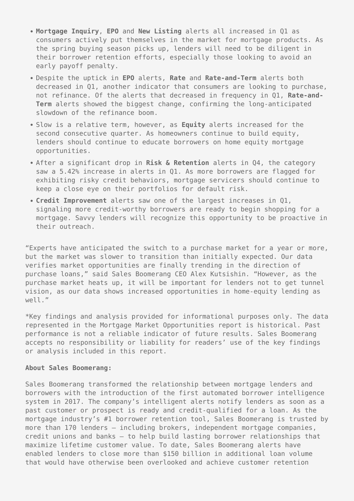- **Mortgage Inquiry**, **EPO** and **New Listing** alerts all increased in Q1 as consumers actively put themselves in the market for mortgage products. As the spring buying season picks up, lenders will need to be diligent in their borrower retention efforts, especially those looking to avoid an early payoff penalty.
- Despite the uptick in **EPO** alerts, **Rate** and **Rate-and-Term** alerts both decreased in Q1, another indicator that consumers are looking to purchase, not refinance. Of the alerts that decreased in frequency in Q1, **Rate-and-Term** alerts showed the biggest change, confirming the long-anticipated slowdown of the refinance boom.
- Slow is a relative term, however, as **Equity** alerts increased for the second consecutive quarter. As homeowners continue to build equity, lenders should continue to educate borrowers on home equity mortgage opportunities.
- After a significant drop in **Risk & Retention** alerts in Q4, the category saw a 5.42% increase in alerts in Q1. As more borrowers are flagged for exhibiting risky credit behaviors, mortgage servicers should continue to keep a close eye on their portfolios for default risk.
- **Credit Improvement** alerts saw one of the largest increases in Q1, signaling more credit-worthy borrowers are ready to begin shopping for a mortgage. Savvy lenders will recognize this opportunity to be proactive in their outreach.

"Experts have anticipated the switch to a purchase market for a year or more, but the market was slower to transition than initially expected. Our data verifies market opportunities are finally trending in the direction of purchase loans," said Sales Boomerang CEO Alex Kutsishin. "However, as the purchase market heats up, it will be important for lenders not to get tunnel vision, as our data shows increased opportunities in home-equity lending as well."

\*Key findings and analysis provided for informational purposes only. The data represented in the Mortgage Market Opportunities report is historical. Past performance is not a reliable indicator of future results. Sales Boomerang accepts no responsibility or liability for readers' use of the key findings or analysis included in this report.

## **About Sales Boomerang:**

Sales Boomerang transformed the relationship between mortgage lenders and borrowers with the introduction of the first automated borrower intelligence system in 2017. The company's intelligent alerts notify lenders as soon as a past customer or prospect is ready and credit-qualified for a loan. As the mortgage industry's #1 borrower retention tool, Sales Boomerang is trusted by more than 170 lenders — including brokers, independent mortgage companies, credit unions and banks — to help build lasting borrower relationships that maximize lifetime customer value. To date, Sales Boomerang alerts have enabled lenders to close more than \$150 billion in additional loan volume that would have otherwise been overlooked and achieve customer retention